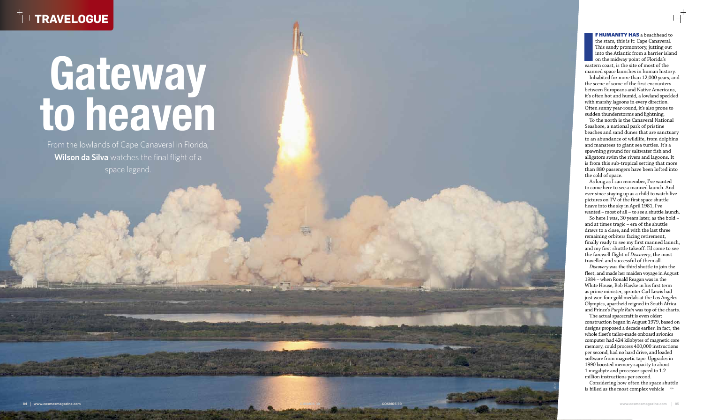## $^+$ + TRAVELOGUE

# **Gateway to heaven**

From the lowlands of Cape Canaveral in Florida, **Wilson da Silva** watches the final flight of a space legend.

F HUMANITY HAS a beachhead to the stars, this is it: Cape Canaveral. This sandy promontory, jutting out into the Atlantic from a barrier island on the midway point of Florida's eastern coast, is the site of most of the manned space launches in human history.

Inhabited for more than 12,000 years, and the scene of some of the first encounters between Europeans and Native Americans, it's often hot and humid, a lowland speckled with marshy lagoons in every direction. Often sunny year-round, it's also prone to sudden thunderstorms and lightning.

To the north is the Canaveral National Seashore, a national park of pristine beaches and sand dunes that are sanctuary to an abundance of wildlife, from dolphins and manatees to giant sea turtles. It's a spawning ground for saltwater fish and alligators swim the rivers and lagoons. It is from this sub-tropical setting that more than 880 passengers have been lofted into the cold of space.

Considering how often the space shuttle is billed as the most complex vehicle >>

As long as I can remember, I've wanted to come here to see a manned launch. And ever since staying up as a child to watch live pictures on TV of the first space shuttle heave into the sky in April 1981, I've wanted – most of all – to see a shuttle launch.



So here I was, 30 years later, as the bold – and at times tragic – era of the shuttle draws to a close, and with the last three remaining orbiters facing retirement, finally ready to see my first manned launch, and my first shuttle takeoff. I'd come to see the farewell flight of *Discovery*, the most travelled and successful of them all.

*Discovery* was the third shuttle to join the fleet, and made her maiden voyage in August 1984 – when Ronald Reagan was in the White House, Bob Hawke in his first term as prime minister, sprinter Carl Lewis had just won four gold medals at the Los Angeles Olympics, apartheid reigned in South Africa and Prince's *Purple Rain* was top of the charts.

The actual spacecraft is even older: construction began in August 1979, based on designs proposed a decade earlier. In fact, the whole fleet's tailor-made onboard avionics computer had 424 kilobytes of magnetic core memory, could process 400,000 instructions per second, had no hard drive, and loaded software from magnetic tape. Upgrades in 1990 boosted memory capacity to about 1 megabyte and processor speed to 1.2 million instructions per second.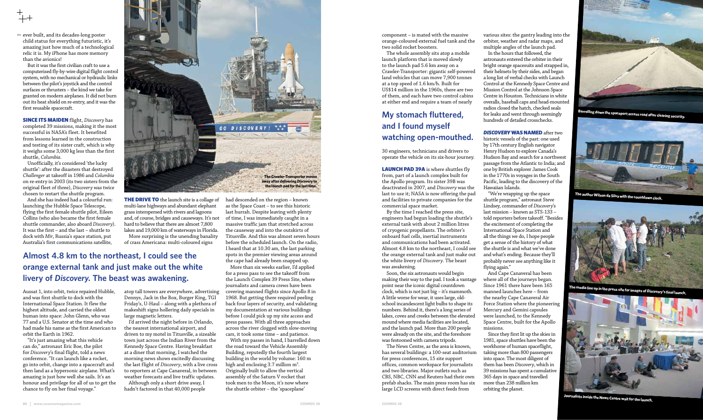>> ever built, and its decades-long poster child status for everything futuristic, it's amazing just how much of a technological relic it is. My iPhone has more memory than the avionics!

But it was the first civilian craft to use a computerised fly-by-wire digital flight control system, with no mechanical or hydraulic links between the pilot's joystick and the control surfaces or thrusters – the kind we take for granted on modern airplanes. It did not burn out its heat shield on re-entry, and it was the first reusable spacecraft.

**SINCE ITS MAIDEN** flight, *Discovery* has completed 39 missions, making it the most successful in NASA's fleet. It benefited from lessons learned in the construction and testing of its sister craft, which is why it weighs some 3,000 kg less than the first shuttle, *Columbia*.

Unofficially, it's considered 'the lucky shuttle': after the disasters that destroyed *Challenger* at takeoff in 1986 and *Columbia* on re-entry in 2003 (its two sisters from the original fleet of three), *Discovery* was twice chosen to restart the shuttle program.

**THE DRIVE TO** the launch site is a collage of multi-lane highways and abundant elephant grass interspersed with rivers and lagoons and, of course, bridges and causeways. It's not hard to believe that there are almost 7,800 lakes and 19,000 km of waterways in Florida. More surprising is the unending banality

And she has indeed had a colourful run: launching the Hubble Space Telescope, flying the first female shuttle pilot, Eileen Collins (who also became the first female shuttle commander, also aboard *Discovery*). It was the first – and the last – shuttle to dock with *Mir*, Russia's space station, put Australia's first communications satellite,

Aussat 1, into orbit, twice repaired Hubble, and was first shuttle to dock with the International Space Station. It flew the highest altitude, and carried the oldest human into space: John Glenn, who was 77 and a U.S. Senator at the time and who had made his name as the first American to orbit the Earth in 1962.

"It's just amazing what this vehicle can do," astronaut Eric Boe, the pilot for *Discovery*'s final flight, told a news conference. "It can launch like a rocket, go into orbit, change into a spacecraft and then land as a hypersonic airplane. What's amazing is just how well she sails. It's an honour and privilege for all of us to get the chance to fly on her final voyage."

of crass Americana: multi-coloured signs

atop tall towers are everywhere, advertising Dennys, Jack in the Box, Burger King, TGI Friday's, U-Haul – along with a plethora of makeshift signs hollering daily specials in large magnetic letters.

LAUNCH PAD 39A is where shuttles fly from, part of a launch complex built for the Apollo program. Its sister 39B was deactivated in 2007, and *Discovery* was the last to use it; NASA is now offering the pad and facilities to private companies for the commercial space market.

I'd arrived the night before in Orlando, the nearest international airport, and driven to my motel in Titusville, a sizeable town just across the Indian River from the Kennedy Space Centre. Having breakfast at a diner that morning, I watched the morning news shows excitedly discussing the last flight of *Discovery*, with a live cross to reporters at Cape Canaveral, in between weather forecasts and live traffic updates.

Although only a short drive away, I hadn't factored in that 40,000 people had descended on the region – known as the Space Coast – to see this historic last hurrah. Despite leaving with plenty of time, I was immediately caught in a massive traffic jam that stretched across the causeway and into the outskirts of Titusville. And this was almost seven hours before the scheduled launch. On the radio, I heard that at 10.30 am, the last parking spots in the premier viewing areas around the cape had already been snapped up.

**DISCOVERY WAS NAMED after two** historic vessels of the past: one used by 17th century English navigator Henry Hudson to explore Canada's Hudson Bay and search for a northwest passage from the Atlantic to India; and one by British explorer James Cook in the 1770s in voyages in the South Pacific, leading to the discovery of the Hawaiian Islands.

More than six weeks earlier, I'd applied for a press pass to see the takeoff from the Launch Complex 39 Press Site, where journalists and camera crews have been covering manned flights since Apollo 8 in 1968. But getting there required peeling back four layers of security, and validating my documentation at various buildings before I could pick up my site access and press passes. With all three approaches across the river clogged with slow-moving cars, it took some time – and patience.

With my passes in hand, I barrelled down the road toward the Vehicle Assembly Building, reputedly the fourth largest building in the world by volume: 160 m high and enclosing 3.7 million  $\mathrm{m}^{3}.$ Originally built to allow the vertical assembly of the Saturn V rocket that took men to the Moon, it's now where the shuttle orbiter – the 'spaceplane'

#### **Almost 4.8 km to the northeast, I could see the orange external tank and just make out the white livery of** *Discovery***. The beast was awakening.**



component – is mated with the massive orange-coloured external fuel tank and the two solid rocket boosters.

The whole assembly sits atop a mobile launch platform that is moved slowly to the launch pad 5.6 km away on a Crawler-Transporter: gigantic self-powered land vehicles that can move 7,900 tonnes at a top speed of 1.6 km/h. Built for US\$14 million in the 1960s, there are two of them, and each have two control cabins at either end and require a team of nearly

30 engineers, technicians and drivers to operate the vehicle on its six-hour journey.

By the time I reached the press site, engineers had begun loading the shuttle's external tank with about 2 million litres of cryogenic propellants. The orbiter's onboard fuel cells, inertial instruments and communications had been activated. Almost 4.8 km to the northeast, I could see the orange external tank and just make out the white livery of *Discovery*. The beast was awakening.

Soon, the six astronauts would begin making their way to the pad. I took a vantage point near the iconic digital countdown clock, which is not just big – it's mammoth. A little worse for wear, it uses large, oldschool incandescent light bulbs to shape its numbers. Behind it, there's a long series of lakes, coves and creeks between the elevated mound where media facilities are located, and the launch pad. More than 200 people were already on the site, and the foreshore was festooned with camera tripods.

The News Centre, as the area is known, has several buildings: a 100-seat auditorium for press conferences, 15 site support offices, common workspace for journalists and two libraries. Major outlets such as CBS, NBC, CNN and Reuters had their own prefab shacks. The main press room has six large LCD screens with direct feeds from

various sites: the gantry leading into the orbiter, weather and radar maps, and multiple angles of the launch pad.

In the hours that followed, the astronauts entered the orbiter in their bright orange spacesuits and strapped in, their helmets by their sides, and began a long list of verbal checks with Launch Control at the Kennedy Space Centre and Mission Control at the Johnson Space Centre in Houston. Technicians in white overalls, baseball caps and head-mounted radios closed the hatch, checked seals for leaks and went through seemingly hundreds of detailed crosschecks.

"We're wrapping up the space shuttle program," astronaut Steve Lindsey, commander of *Discovery*'s last mission – known as STS-133 – told reporters before takeoff. "Besides the excitement of completing the International Space Station and all the things we do, I hope people get a sense of the history of what the shuttle is and what we've done and what's ending. Because they'll probably never see anything like it flying again."

And Cape Canaveral has been where all of the journeys began. Since 1961 there have been 165 manned launches here – from the nearby Cape Canaveral Air Force Station where the pioneering Mercury and Gemini capsules were launched, to the Kennedy Space Centre, built for the Apollo missions.

Since they first lit up the skies in 1981, space shuttles have been the workhorse of human spaceflight, taking more than 800 passengers into space. The most diligent of them has been *Discovery*, which in 39 missions has spent a cumulative 365 days in space and travelled more than 238 million km orbiting the planet.

### **My stomach fluttered, and I found myself watching open-mouthed.**



**Barrelling down the spaceport access road after clearing security.**